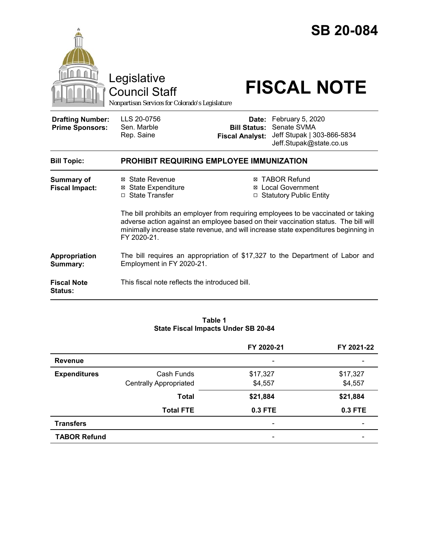|                                                   | Legislative<br><b>Council Staff</b><br>Nonpartisan Services for Colorado's Legislature                                                                                                                                                                                          |                                               | <b>SB 20-084</b><br><b>FISCAL NOTE</b>                                                         |  |  |
|---------------------------------------------------|---------------------------------------------------------------------------------------------------------------------------------------------------------------------------------------------------------------------------------------------------------------------------------|-----------------------------------------------|------------------------------------------------------------------------------------------------|--|--|
| <b>Drafting Number:</b><br><b>Prime Sponsors:</b> | LLS 20-0756<br>Sen. Marble<br>Rep. Saine                                                                                                                                                                                                                                        | <b>Bill Status:</b><br><b>Fiscal Analyst:</b> | Date: February 5, 2020<br>Senate SVMA<br>Jeff Stupak   303-866-5834<br>Jeff.Stupak@state.co.us |  |  |
| <b>Bill Topic:</b>                                | <b>PROHIBIT REQUIRING EMPLOYEE IMMUNIZATION</b>                                                                                                                                                                                                                                 |                                               |                                                                                                |  |  |
| Summary of<br><b>Fiscal Impact:</b>               | ⊠ State Revenue<br><b>⊠ State Expenditure</b><br>□ State Transfer                                                                                                                                                                                                               | ⊠<br>⊠                                        | <b>TABOR Refund</b><br><b>Local Government</b><br>□ Statutory Public Entity                    |  |  |
|                                                   | The bill prohibits an employer from requiring employees to be vaccinated or taking<br>adverse action against an employee based on their vaccination status. The bill will<br>minimally increase state revenue, and will increase state expenditures beginning in<br>FY 2020-21. |                                               |                                                                                                |  |  |
| Appropriation<br>Summary:                         | The bill requires an appropriation of \$17,327 to the Department of Labor and<br>Employment in FY 2020-21.                                                                                                                                                                      |                                               |                                                                                                |  |  |
| <b>Fiscal Note</b><br><b>Status:</b>              | This fiscal note reflects the introduced bill.                                                                                                                                                                                                                                  |                                               |                                                                                                |  |  |

#### **Table 1 State Fiscal Impacts Under SB 20-84**

|                     |                               | FY 2020-21               | FY 2021-22 |
|---------------------|-------------------------------|--------------------------|------------|
| <b>Revenue</b>      |                               | $\overline{\phantom{0}}$ |            |
| <b>Expenditures</b> | Cash Funds                    | \$17,327                 | \$17,327   |
|                     | <b>Centrally Appropriated</b> | \$4,557                  | \$4,557    |
|                     | <b>Total</b>                  | \$21,884                 | \$21,884   |
|                     | <b>Total FTE</b>              | 0.3 FTE                  | 0.3 FTE    |
| <b>Transfers</b>    |                               | $\overline{\phantom{0}}$ |            |
| <b>TABOR Refund</b> |                               | $\overline{\phantom{0}}$ |            |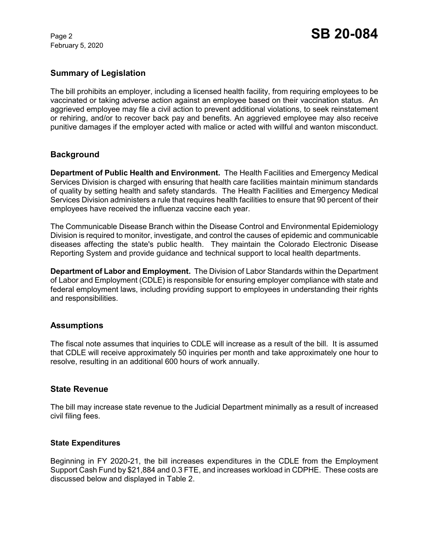February 5, 2020

# **Summary of Legislation**

The bill prohibits an employer, including a licensed health facility, from requiring employees to be vaccinated or taking adverse action against an employee based on their vaccination status. An aggrieved employee may file a civil action to prevent additional violations, to seek reinstatement or rehiring, and/or to recover back pay and benefits. An aggrieved employee may also receive punitive damages if the employer acted with malice or acted with willful and wanton misconduct.

## **Background**

**Department of Public Health and Environment.** The Health Facilities and Emergency Medical Services Division is charged with ensuring that health care facilities maintain minimum standards of quality by setting health and safety standards. The Health Facilities and Emergency Medical Services Division administers a rule that requires health facilities to ensure that 90 percent of their employees have received the influenza vaccine each year.

The Communicable Disease Branch within the Disease Control and Environmental Epidemiology Division is required to monitor, investigate, and control the causes of epidemic and communicable diseases affecting the state's public health. They maintain the Colorado Electronic Disease Reporting System and provide guidance and technical support to local health departments.

**Department of Labor and Employment.** The Division of Labor Standards within the Department of Labor and Employment (CDLE) is responsible for ensuring employer compliance with state and federal employment laws, including providing support to employees in understanding their rights and responsibilities.

### **Assumptions**

The fiscal note assumes that inquiries to CDLE will increase as a result of the bill. It is assumed that CDLE will receive approximately 50 inquiries per month and take approximately one hour to resolve, resulting in an additional 600 hours of work annually.

### **State Revenue**

The bill may increase state revenue to the Judicial Department minimally as a result of increased civil filing fees.

### **State Expenditures**

Beginning in FY 2020-21, the bill increases expenditures in the CDLE from the Employment Support Cash Fund by \$21,884 and 0.3 FTE, and increases workload in CDPHE. These costs are discussed below and displayed in Table 2.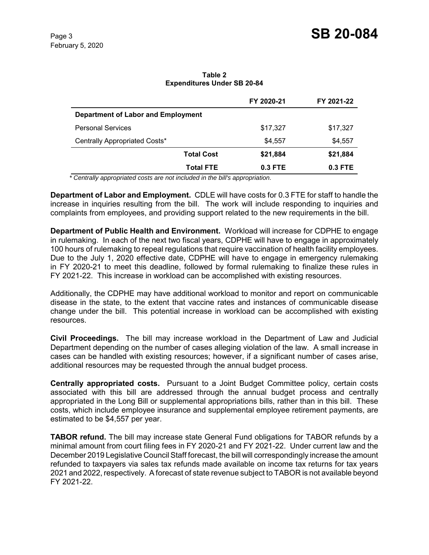#### **Table 2 Expenditures Under SB 20-84**

|                                    |                   | FY 2020-21 | FY 2021-22 |  |
|------------------------------------|-------------------|------------|------------|--|
| Department of Labor and Employment |                   |            |            |  |
| <b>Personal Services</b>           |                   | \$17,327   | \$17,327   |  |
| Centrally Appropriated Costs*      |                   | \$4.557    | \$4,557    |  |
|                                    | <b>Total Cost</b> | \$21,884   | \$21,884   |  |
|                                    | <b>Total FTE</b>  | $0.3$ FTE  | $0.3$ FTE  |  |

 *\* Centrally appropriated costs are not included in the bill's appropriation.*

**Department of Labor and Employment.** CDLE will have costs for 0.3 FTE for staff to handle the increase in inquiries resulting from the bill. The work will include responding to inquiries and complaints from employees, and providing support related to the new requirements in the bill.

**Department of Public Health and Environment.** Workload will increase for CDPHE to engage in rulemaking. In each of the next two fiscal years, CDPHE will have to engage in approximately 100 hours of rulemaking to repeal regulations that require vaccination of health facility employees. Due to the July 1, 2020 effective date, CDPHE will have to engage in emergency rulemaking in FY 2020-21 to meet this deadline, followed by formal rulemaking to finalize these rules in FY 2021-22. This increase in workload can be accomplished with existing resources.

Additionally, the CDPHE may have additional workload to monitor and report on communicable disease in the state, to the extent that vaccine rates and instances of communicable disease change under the bill. This potential increase in workload can be accomplished with existing resources.

**Civil Proceedings.** The bill may increase workload in the Department of Law and Judicial Department depending on the number of cases alleging violation of the law. A small increase in cases can be handled with existing resources; however, if a significant number of cases arise, additional resources may be requested through the annual budget process.

**Centrally appropriated costs.** Pursuant to a Joint Budget Committee policy, certain costs associated with this bill are addressed through the annual budget process and centrally appropriated in the Long Bill or supplemental appropriations bills, rather than in this bill. These costs, which include employee insurance and supplemental employee retirement payments, are estimated to be \$4,557 per year.

**TABOR refund.** The bill may increase state General Fund obligations for TABOR refunds by a minimal amount from court filing fees in FY 2020-21 and FY 2021-22. Under current law and the December 2019 Legislative Council Staff forecast, the bill will correspondingly increase the amount refunded to taxpayers via sales tax refunds made available on income tax returns for tax years 2021 and 2022, respectively. A forecast of state revenue subject to TABOR is not available beyond FY 2021-22.